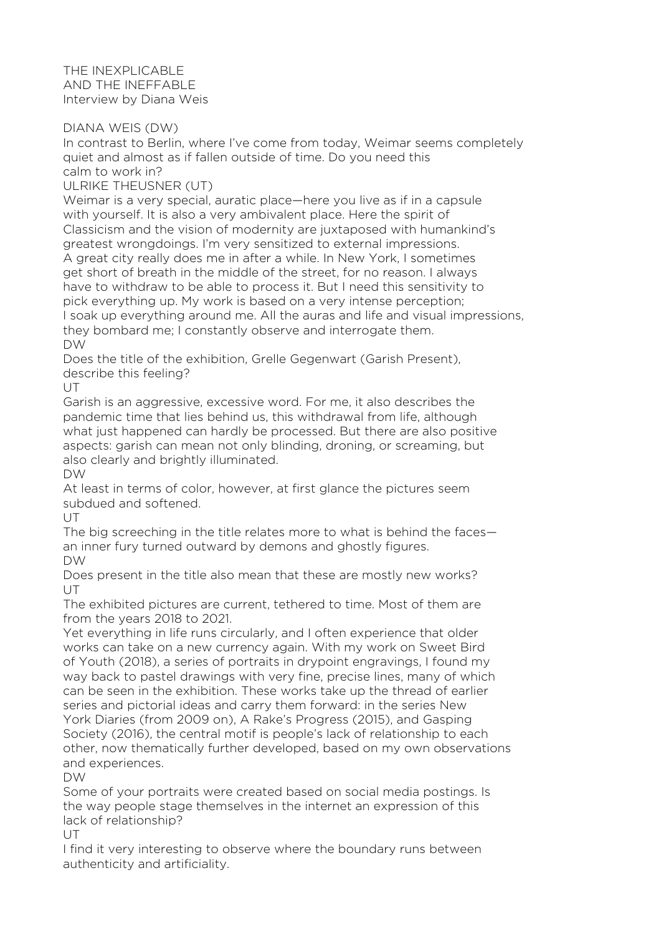THE INEXPLICABLE AND THE INEFFABLE Interview by Diana Weis

DIANA WEIS (DW)

In contrast to Berlin, where I've come from today, Weimar seems completely quiet and almost as if fallen outside of time. Do you need this calm to work in?

ULRIKE THEUSNER (UT)

Weimar is a very special, auratic place—here you live as if in a capsule with yourself. It is also a very ambivalent place. Here the spirit of Classicism and the vision of modernity are juxtaposed with humankind's greatest wrongdoings. I'm very sensitized to external impressions. A great city really does me in after a while. In New York, I sometimes get short of breath in the middle of the street, for no reason. I always have to withdraw to be able to process it. But I need this sensitivity to pick everything up. My work is based on a very intense perception; I soak up everything around me. All the auras and life and visual impressions, they bombard me; I constantly observe and interrogate them. DW

Does the title of the exhibition, Grelle Gegenwart (Garish Present), describe this feeling?

 $U$ 

Garish is an aggressive, excessive word. For me, it also describes the pandemic time that lies behind us, this withdrawal from life, although what just happened can hardly be processed. But there are also positive aspects: garish can mean not only blinding, droning, or screaming, but also clearly and brightly illuminated.

DW

At least in terms of color, however, at first glance the pictures seem subdued and softened.

UT

The big screeching in the title relates more to what is behind the faces an inner fury turned outward by demons and ghostly figures. DW

Does present in the title also mean that these are mostly new works?  $U$ 

The exhibited pictures are current, tethered to time. Most of them are from the years 2018 to 2021.

Yet everything in life runs circularly, and I often experience that older works can take on a new currency again. With my work on Sweet Bird of Youth (2018), a series of portraits in drypoint engravings, I found my way back to pastel drawings with very fine, precise lines, many of which can be seen in the exhibition. These works take up the thread of earlier series and pictorial ideas and carry them forward: in the series New York Diaries (from 2009 on), A Rake's Progress (2015), and Gasping Society (2016), the central motif is people's lack of relationship to each other, now thematically further developed, based on my own observations and experiences.

DW

Some of your portraits were created based on social media postings. Is the way people stage themselves in the internet an expression of this lack of relationship?

UT

I find it very interesting to observe where the boundary runs between authenticity and artificiality.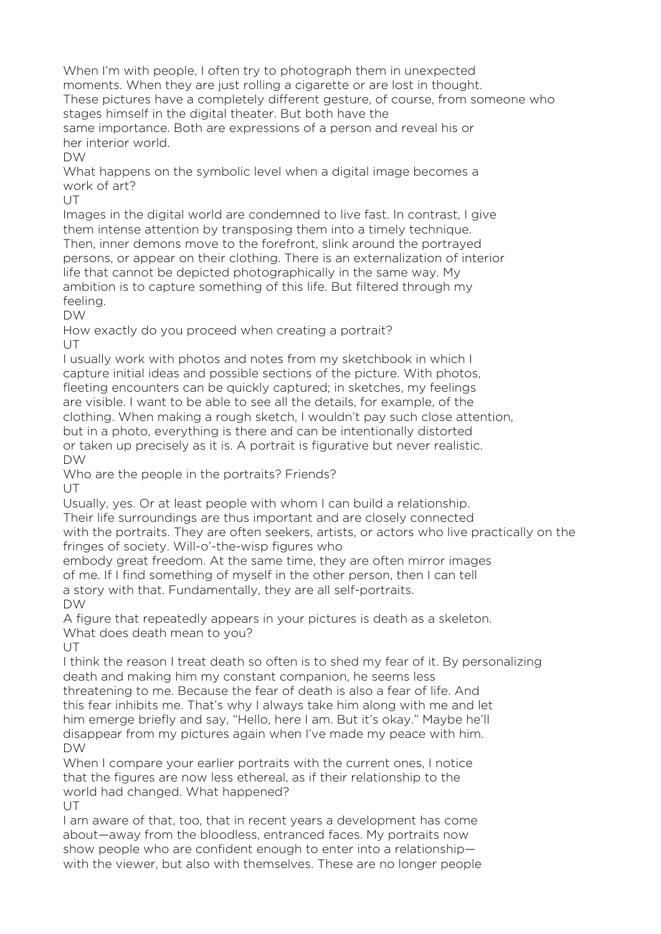When I'm with people, I often try to photograph them in unexpected moments. When they are just rolling a cigarette or are lost in thought. These pictures have a completely different gesture, of course, from someone who stages himself in the digital theater. But both have the same importance. Both are expressions of a person and reveal his or her interior world.

DW

What happens on the symbolic level when a digital image becomes a work of art?

 $U$ 

Images in the digital world are condemned to live fast. In contrast, I give them intense attention by transposing them into a timely technique. Then, inner demons move to the forefront, slink around the portrayed persons, or appear on their clothing. There is an externalization of interior life that cannot be depicted photographically in the same way. My ambition is to capture something of this life. But filtered through my feeling.

DW

How exactly do you proceed when creating a portrait? UT

I usually work with photos and notes from my sketchbook in which I capture initial ideas and possible sections of the picture. With photos, fleeting encounters can be quickly captured; in sketches, my feelings are visible. I want to be able to see all the details, for example, of the clothing. When making a rough sketch, I wouldn't pay such close attention, but in a photo, everything is there and can be intentionally distorted or taken up precisely as it is. A portrait is figurative but never realistic. DW

Who are the people in the portraits? Friends?

UT.

Usually, yes. Or at least people with whom I can build a relationship. Their life surroundings are thus important and are closely connected with the portraits. They are often seekers, artists, or actors who live practically on the fringes of society. Will-o'-the-wisp figures who

embody great freedom. At the same time, they are often mirror images of me. If I find something of myself in the other person, then I can tell a story with that. Fundamentally, they are all self-portraits. DW

A figure that repeatedly appears in your pictures is death as a skeleton. What does death mean to you?

 $U$ 

I think the reason I treat death so often is to shed my fear of it. By personalizing death and making him my constant companion, he seems less

threatening to me. Because the fear of death is also a fear of life. And this fear inhibits me. That's why I always take him along with me and let him emerge briefly and say, "Hello, here I am. But it's okay." Maybe he'll disappear from my pictures again when I've made my peace with him. DW

When I compare your earlier portraits with the current ones. I notice that the figures are now less ethereal, as if their relationship to the world had changed. What happened? UT

I am aware of that, too, that in recent years a development has come about—away from the bloodless, entranced faces. My portraits now show people who are confident enough to enter into a relationship with the viewer, but also with themselves. These are no longer people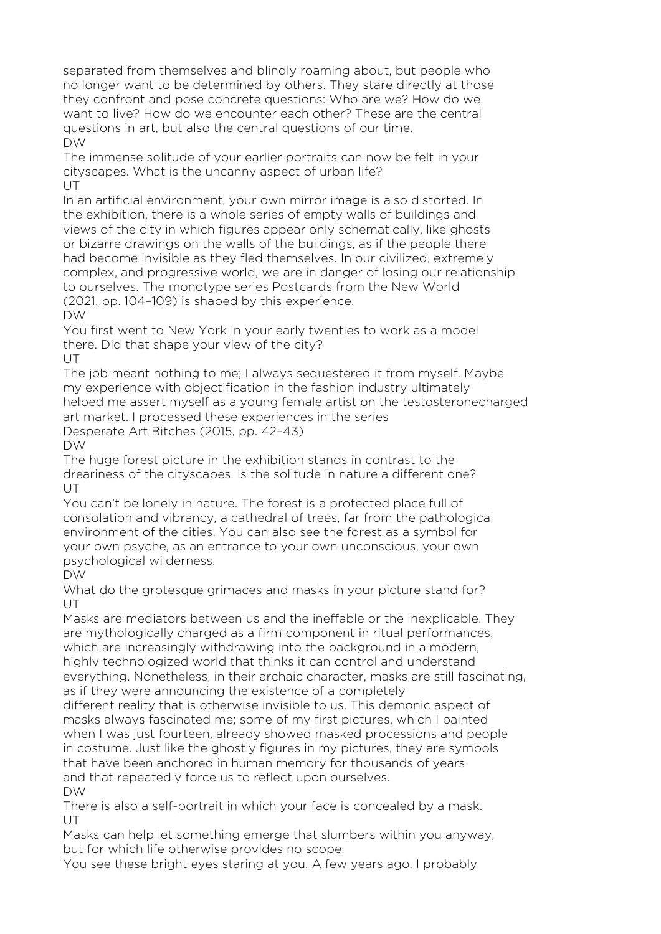separated from themselves and blindly roaming about, but people who no longer want to be determined by others. They stare directly at those they confront and pose concrete questions: Who are we? How do we want to live? How do we encounter each other? These are the central questions in art, but also the central questions of our time. DW

The immense solitude of your earlier portraits can now be felt in your cityscapes. What is the uncanny aspect of urban life? UT.

In an artificial environment, your own mirror image is also distorted. In the exhibition, there is a whole series of empty walls of buildings and views of the city in which figures appear only schematically, like ghosts or bizarre drawings on the walls of the buildings, as if the people there had become invisible as they fled themselves. In our civilized, extremely complex, and progressive world, we are in danger of losing our relationship to ourselves. The monotype series Postcards from the New World (2021, pp. 104–109) is shaped by this experience.

DW

You first went to New York in your early twenties to work as a model there. Did that shape your view of the city?

 $U$ 

The job meant nothing to me; I always sequestered it from myself. Maybe my experience with objectification in the fashion industry ultimately helped me assert myself as a young female artist on the testosteronecharged art market. I processed these experiences in the series

Desperate Art Bitches (2015, pp. 42–43)

 $D$ W

The huge forest picture in the exhibition stands in contrast to the dreariness of the cityscapes. Is the solitude in nature a different one? UT

You can't be lonely in nature. The forest is a protected place full of consolation and vibrancy, a cathedral of trees, far from the pathological environment of the cities. You can also see the forest as a symbol for your own psyche, as an entrance to your own unconscious, your own psychological wilderness.

DW

What do the grotesque grimaces and masks in your picture stand for? UT

Masks are mediators between us and the ineffable or the inexplicable. They are mythologically charged as a firm component in ritual performances, which are increasingly withdrawing into the background in a modern, highly technologized world that thinks it can control and understand everything. Nonetheless, in their archaic character, masks are still fascinating, as if they were announcing the existence of a completely

different reality that is otherwise invisible to us. This demonic aspect of masks always fascinated me; some of my first pictures, which I painted when I was just fourteen, already showed masked processions and people in costume. Just like the ghostly figures in my pictures, they are symbols that have been anchored in human memory for thousands of years and that repeatedly force us to reflect upon ourselves. DW

There is also a self-portrait in which your face is concealed by a mask. UT

Masks can help let something emerge that slumbers within you anyway, but for which life otherwise provides no scope.

You see these bright eyes staring at you. A few years ago, I probably